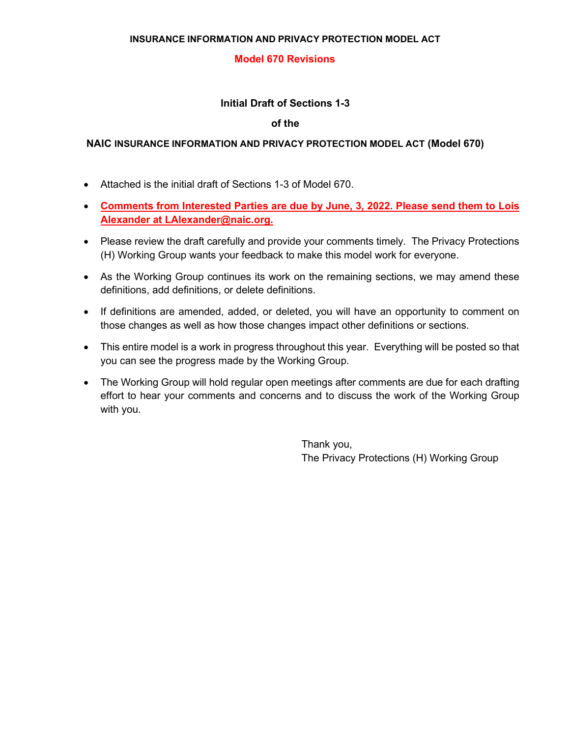## **Model 670 Revisions**

# **Initial Draft of Sections 1-3**

#### **of the**

### **NAIC INSURANCE INFORMATION AND PRIVACY PROTECTION MODEL ACT (Model 670)**

- Attached is the initial draft of Sections 1-3 of Model 670.
- **Comments from Interested Parties are due by June, 3, 2022. Please send them to Lois Alexander at LAlexander@naic.org.**
- Please review the draft carefully and provide your comments timely. The Privacy Protections (H) Working Group wants your feedback to make this model work for everyone.
- As the Working Group continues its work on the remaining sections, we may amend these definitions, add definitions, or delete definitions.
- If definitions are amended, added, or deleted, you will have an opportunity to comment on those changes as well as how those changes impact other definitions or sections.
- This entire model is a work in progress throughout this year. Everything will be posted so that you can see the progress made by the Working Group.
- The Working Group will hold regular open meetings after comments are due for each drafting effort to hear your comments and concerns and to discuss the work of the Working Group with you.

Thank you, The Privacy Protections (H) Working Group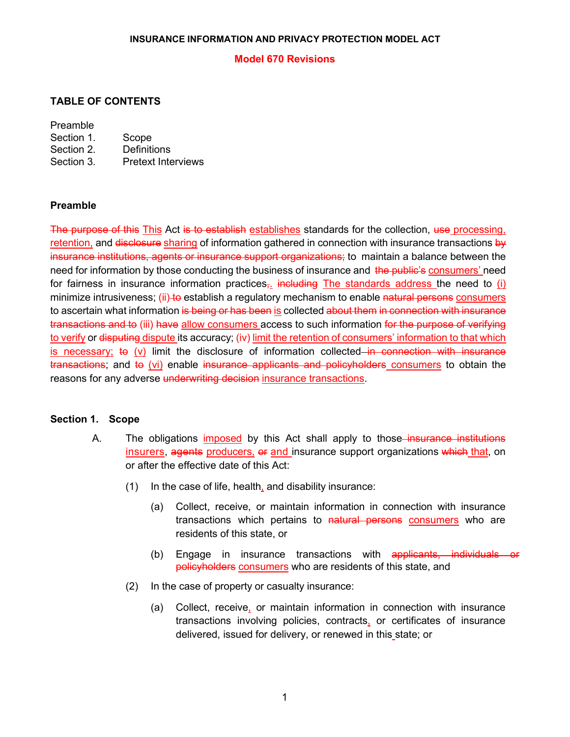### **Model 670 Revisions**

# **TABLE OF CONTENTS**

## Preamble

| Section 1. | Scope                     |
|------------|---------------------------|
| Section 2. | Definitions               |
| Section 3. | <b>Pretext Interviews</b> |

# **Preamble**

The purpose of this This Act is to establish establishes standards for the collection, use processing, retention, and disclosure sharing of information gathered in connection with insurance transactions by insurance institutions, agents or insurance support organizations; to maintain a balance between the need for information by those conducting the business of insurance and the public's consumers' need for fairness in insurance information practices<sub> $\tau$ </sub>. including The standards address the need to (i) minimize intrusiveness; (ii) to establish a regulatory mechanism to enable natural persons consumers to ascertain what information is being or has been is collected about them in connection with insurance transactions and to (iii) have allow consumers access to such information for the purpose of verifying to verify or disputing dispute its accuracy; (iv) limit the retention of consumers' information to that which is necessary; to  $(v)$  limit the disclosure of information collected in connection with insurance transactions; and to (vi) enable insurance applicants and policyholders consumers to obtain the reasons for any adverse underwriting decision insurance transactions.

### **Section 1. Scope**

- A. The obligations imposed by this Act shall apply to those–insurance institutions insurers, agents producers, or and insurance support organizations which that, on or after the effective date of this Act:
	- (1) In the case of life, health, and disability insurance:
		- (a) Collect, receive, or maintain information in connection with insurance transactions which pertains to natural persons consumers who are residents of this state, or
		- (b) Engage in insurance transactions with applicants, individuals or policyholders consumers who are residents of this state, and
	- (2) In the case of property or casualty insurance:
		- (a) Collect, receive, or maintain information in connection with insurance transactions involving policies, contracts, or certificates of insurance delivered, issued for delivery, or renewed in this state; or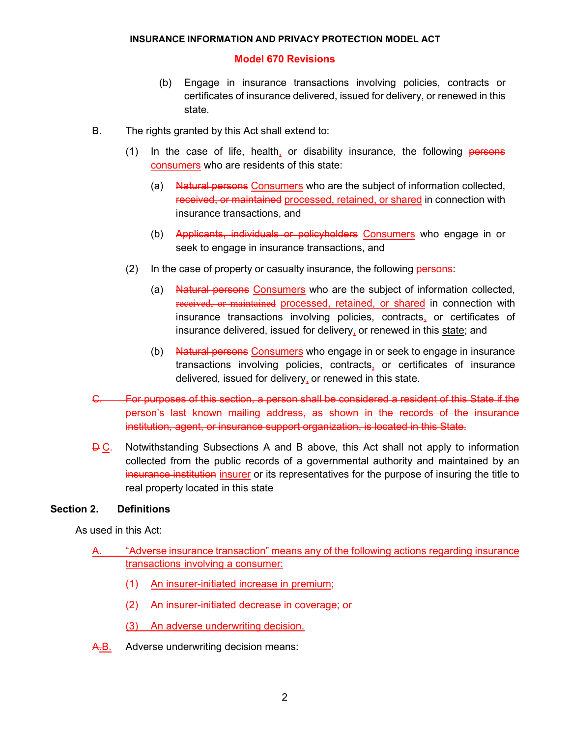### **Model 670 Revisions**

- (b) Engage in insurance transactions involving policies, contracts or certificates of insurance delivered, issued for delivery, or renewed in this state.
- B. The rights granted by this Act shall extend to:
	- $(1)$  In the case of life, health, or disability insurance, the following persons consumers who are residents of this state:
		- (a) Natural persons Consumers who are the subject of information collected, received, or maintained processed, retained, or shared in connection with insurance transactions, and
		- (b) Applicants, individuals or policyholders Consumers who engage in or seek to engage in insurance transactions, and
	- $(2)$  In the case of property or casualty insurance, the following persons:
		- (a) Natural persons Consumers who are the subject of information collected, received, or maintained processed, retained, or shared in connection with insurance transactions involving policies, contracts, or certificates of insurance delivered, issued for delivery, or renewed in this state; and
		- (b) Natural persons Consumers who engage in or seek to engage in insurance transactions involving policies, contracts, or certificates of insurance delivered, issued for delivery, or renewed in this state.
- C. For purposes of this section, a person shall be considered a resident of this State if the person's last known mailing address, as shown in the records of the insurance institution, agent, or insurance support organization, is located in this State.
- **D C.** Notwithstanding Subsections A and B above, this Act shall not apply to information collected from the public records of a governmental authority and maintained by an insurance institution insurer or its representatives for the purpose of insuring the title to real property located in this state

### **Section 2. Definitions**

As used in this Act:

- "Adverse insurance transaction" means any of the following actions regarding insurance transactions involving a consumer:
	- (1) An insurer-initiated increase in premium;
	- (2) An insurer-initiated decrease in coverage; or
	- (3) An adverse underwriting decision.
- A.B. Adverse underwriting decision means: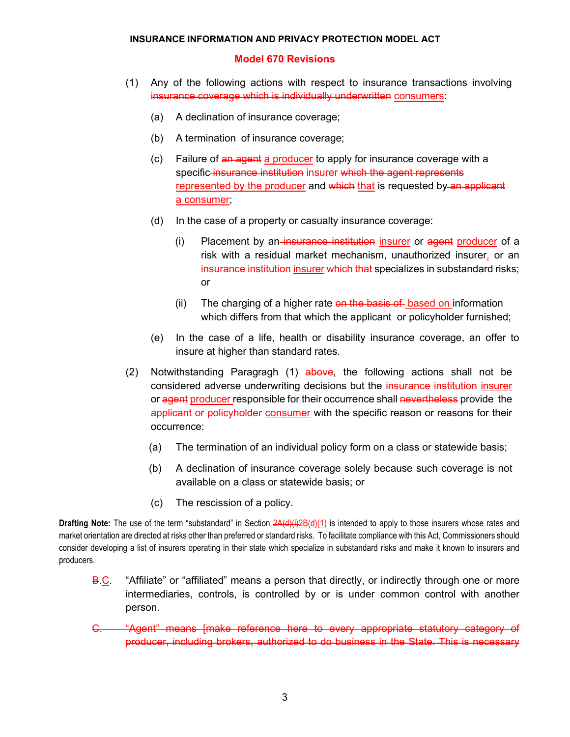## **Model 670 Revisions**

- (1) Any of the following actions with respect to insurance transactions involving insurance coverage which is individually underwritten consumers:
	- (a) A declination of insurance coverage;
	- (b) A termination of insurance coverage;
	- (c) Failure of an agent a producer to apply for insurance coverage with a specific insurance institution insurer which the agent represents represented by the producer and which that is requested by an applicant a consumer;
	- (d) In the case of a property or casualty insurance coverage:
		- (i) Placement by an insurance institution insurer or agent producer of a risk with a residual market mechanism, unauthorized insurer, or an insurance institution insurer which that specializes in substandard risks; or
		- (ii) The charging of a higher rate  $\theta$  and the basis of based on information which differs from that which the applicant or policyholder furnished;
	- (e) In the case of a life, health or disability insurance coverage, an offer to insure at higher than standard rates.
- (2) Notwithstanding Paragragh (1)  $\frac{1}{2}$  above, the following actions shall not be considered adverse underwriting decisions but the insurance institution insurer or agent producer responsible for their occurrence shall nevertheless provide the applicant or policyholder consumer with the specific reason or reasons for their occurrence:
	- (a) The termination of an individual policy form on a class or statewide basis;
	- (b) A declination of insurance coverage solely because such coverage is not available on a class or statewide basis; or
	- (c) The rescission of a policy.

**Drafting Note:** The use of the term "substandard" in Section 2A(d)(i)2B(d)(1) is intended to apply to those insurers whose rates and market orientation are directed at risks other than preferred or standard risks. To facilitate compliance with this Act, Commissioners should consider developing a list of insurers operating in their state which specialize in substandard risks and make it known to insurers and producers.

- **B.C.** "Affiliate" or "affiliated" means a person that directly, or indirectly through one or more intermediaries, controls, is controlled by or is under common control with another person.
- C. "Agent" means [make reference here to every appropriate statutory category of producer, including brokers, authorized to do business in the State. This is necessary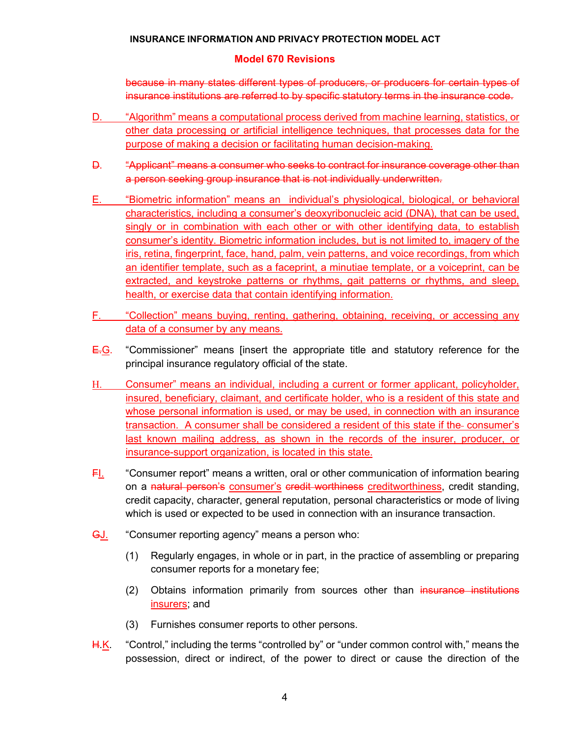# **Model 670 Revisions**

because in many states different types of producers, or producers for certain types of insurance institutions are referred to by specific statutory terms in the insurance code.

- D. "Algorithm" means a computational process derived from machine learning, statistics, or other data processing or artificial intelligence techniques, that processes data for the purpose of making a decision or facilitating human decision-making.
- D. "Applicant" means a consumer who seeks to contract for insurance coverage other than a person seeking group insurance that is not individually underwritten.
- E. "Biometric information" means an individual's physiological, biological, or behavioral characteristics, including a consumer's deoxyribonucleic acid (DNA), that can be used, singly or in combination with each other or with other identifying data, to establish consumer's identity. Biometric information includes, but is not limited to, imagery of the iris, retina, fingerprint, face, hand, palm, vein patterns, and voice recordings, from which an identifier template, such as a faceprint, a minutiae template, or a voiceprint, can be extracted, and keystroke patterns or rhythms, gait patterns or rhythms, and sleep, health, or exercise data that contain identifying information.
- F. "Collection" means buying, renting, gathering, obtaining, receiving, or accessing any data of a consumer by any means.
- $E-G$ . "Commissioner" means [insert the appropriate title and statutory reference for the principal insurance regulatory official of the state.
- H. Consumer" means an individual, including a current or former applicant, policyholder, insured, beneficiary, claimant, and certificate holder, who is a resident of this state and whose personal information is used, or may be used, in connection with an insurance transaction. A consumer shall be considered a resident of this state if the consumer's last known mailing address, as shown in the records of the insurer, producer, or insurance-support organization, is located in this state.
- FI. "Consumer report" means a written, oral or other communication of information bearing on a natural person's consumer's credit worthiness creditworthiness, credit standing, credit capacity, character, general reputation, personal characteristics or mode of living which is used or expected to be used in connection with an insurance transaction.
- GJ. "Consumer reporting agency" means a person who:
	- (1) Regularly engages, in whole or in part, in the practice of assembling or preparing consumer reports for a monetary fee;
	- (2) Obtains information primarily from sources other than insurance institutions insurers; and
	- (3) Furnishes consumer reports to other persons.
- H.K. "Control," including the terms "controlled by" or "under common control with," means the possession, direct or indirect, of the power to direct or cause the direction of the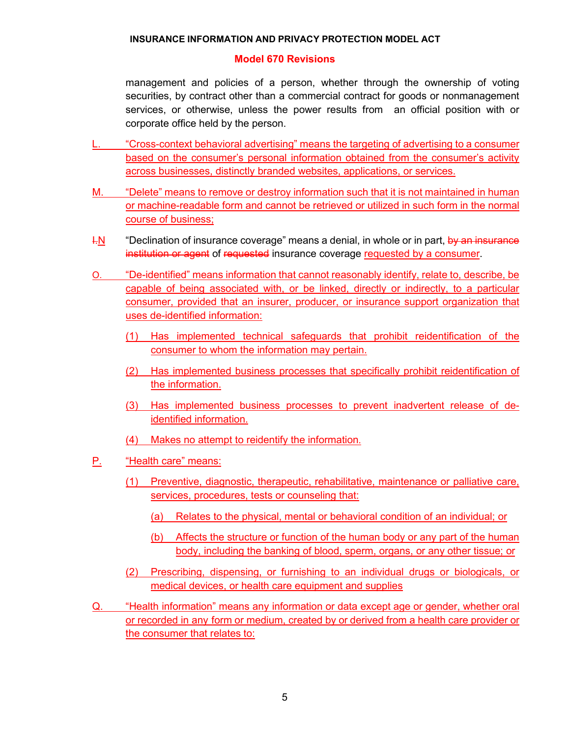### **Model 670 Revisions**

management and policies of a person, whether through the ownership of voting securities, by contract other than a commercial contract for goods or nonmanagement services, or otherwise, unless the power results from an official position with or corporate office held by the person.

- L. "Cross-context behavioral advertising" means the targeting of advertising to a consumer based on the consumer's personal information obtained from the consumer's activity across businesses, distinctly branded websites, applications, or services.
- M. "Delete" means to remove or destroy information such that it is not maintained in human or machine-readable form and cannot be retrieved or utilized in such form in the normal course of business;
- $H = 10$  "Declination of insurance coverage" means a denial, in whole or in part, by an insurance institution or agent of requested insurance coverage requested by a consumer.
- O. "De-identified" means information that cannot reasonably identify, relate to, describe, be capable of being associated with, or be linked, directly or indirectly, to a particular consumer, provided that an insurer, producer, or insurance support organization that uses de-identified information:
	- (1) Has implemented technical safeguards that prohibit reidentification of the consumer to whom the information may pertain.
	- (2) Has implemented business processes that specifically prohibit reidentification of the information.
	- (3) Has implemented business processes to prevent inadvertent release of deidentified information.
	- (4) Makes no attempt to reidentify the information.
- P. "Health care" means:
	- (1) Preventive, diagnostic, therapeutic, rehabilitative, maintenance or palliative care, services, procedures, tests or counseling that:
		- (a) Relates to the physical, mental or behavioral condition of an individual; or
		- (b) Affects the structure or function of the human body or any part of the human body, including the banking of blood, sperm, organs, or any other tissue; or
	- (2) Prescribing, dispensing, or furnishing to an individual drugs or biologicals, or medical devices, or health care equipment and supplies
- Q. "Health information" means any information or data except age or gender, whether oral or recorded in any form or medium, created by or derived from a health care provider or the consumer that relates to: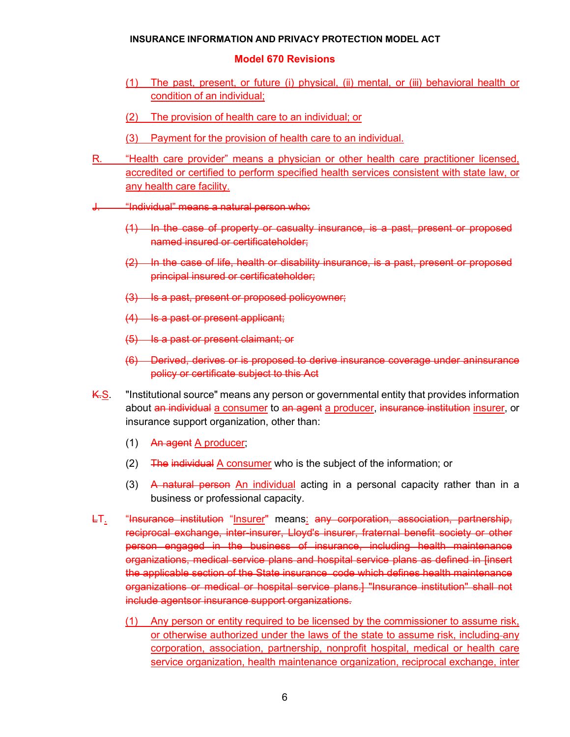#### **Model 670 Revisions**

- (1) The past, present, or future (i) physical, (ii) mental, or (iii) behavioral health or condition of an individual;
- (2) The provision of health care to an individual; or
- (3) Payment for the provision of health care to an individual.
- R. "Health care provider" means a physician or other health care practitioner licensed, accredited or certified to perform specified health services consistent with state law, or any health care facility.
- J. "Individual" means a natural person who:
	- (1) In the case of property or casualty insurance, is a past, present or proposed named insured or certificateholder;
	- (2) In the case of life, health or disability insurance, is a past, present or proposed principal insured or certificateholder;
	- (3) Is a past, present or proposed policyowner;
	- (4) Is a past or present applicant;
	- (5) Is a past or present claimant; or
	- (6) Derived, derives or is proposed to derive insurance coverage under aninsurance policy or certificate subject to this Act
- K.S. "Institutional source" means any person or governmental entity that provides information about an individual a consumer to an agent a producer, insurance institution insurer, or insurance support organization, other than:
	- (1) An agent A producer;
	- (2) The individual A consumer who is the subject of the information; or
	- (3) A natural person An individual acting in a personal capacity rather than in a business or professional capacity.
- LT. "Insurance institution "Insurer" means: any corporation, association, partnership, reciprocal exchange, inter-insurer, Lloyd's insurer, fraternal benefit society or other person engaged in the business of insurance, including health maintenance organizations, medical service plans and hospital service plans as defined in [insert the applicable section of the State insurance code which defines health maintenance organizations or medical or hospital service plans.] "Insurance institution" shall not include agentsor insurance support organizations.
	- (1) Any person or entity required to be licensed by the commissioner to assume risk, or otherwise authorized under the laws of the state to assume risk, including-any corporation, association, partnership, nonprofit hospital, medical or health care service organization, health maintenance organization, reciprocal exchange, inter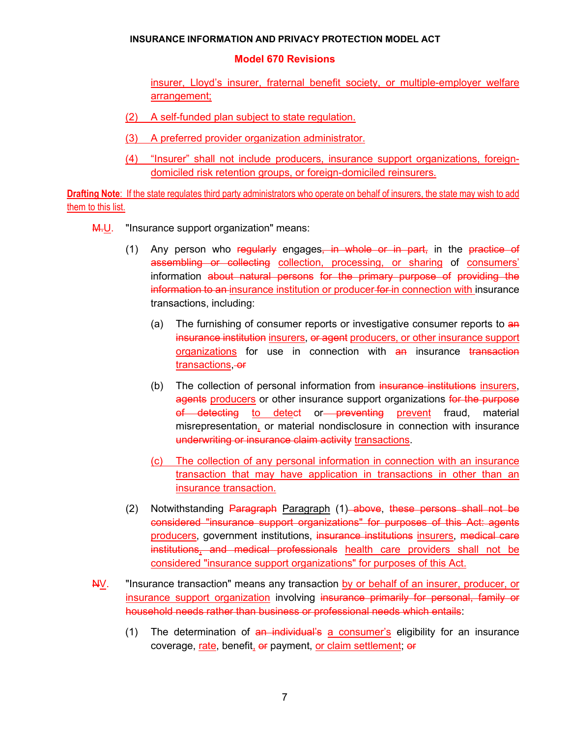#### **Model 670 Revisions**

insurer, Lloyd's insurer, fraternal benefit society, or multiple-employer welfare arrangement;

- (2) A self-funded plan subject to state regulation.
- (3) A preferred provider organization administrator.
- (4) "Insurer" shall not include producers, insurance support organizations, foreigndomiciled risk retention groups, or foreign-domiciled reinsurers.

**Drafting Note**: If the state regulates third party administrators who operate on behalf of insurers, the state may wish to add them to this list.

- **M.U.** "Insurance support organization" means:
	- (1) Any person who regularly engages, in whole or in part, in the practice of assembling or collecting collection, processing, or sharing of consumers' information about natural persons for the primary purpose of providing the information to an-insurance institution or producer-for-in connection with insurance transactions, including:
		- (a) The furnishing of consumer reports or investigative consumer reports to an insurance institution insurers, or agent producers, or other insurance support organizations for use in connection with an insurance transaction transactions - or
		- (b) The collection of personal information from insurance institutions insurers, agents producers or other insurance support organizations for the purpose of detecting to detect or preventing prevent fraud, material misrepresentation, or material nondisclosure in connection with insurance underwriting or insurance claim activity transactions.
		- (c) The collection of any personal information in connection with an insurance transaction that may have application in transactions in other than an insurance transaction.
	- (2) Notwithstanding Paragraph Paragraph (1) above, these persons shall not be considered "insurance support organizations" for purposes of this Act: agents producers, government institutions, insurance institutions insurers, medical care institutions, and medical professionals health care providers shall not be considered "insurance support organizations" for purposes of this Act.
- NV. "Insurance transaction" means any transaction by or behalf of an insurer, producer, or insurance support organization involving insurance primarily for personal, family or household needs rather than business or professional needs which entails:
	- (1) The determination of  $an$  individual's a consumer's eligibility for an insurance coverage, rate, benefit, or payment, or claim settlement; or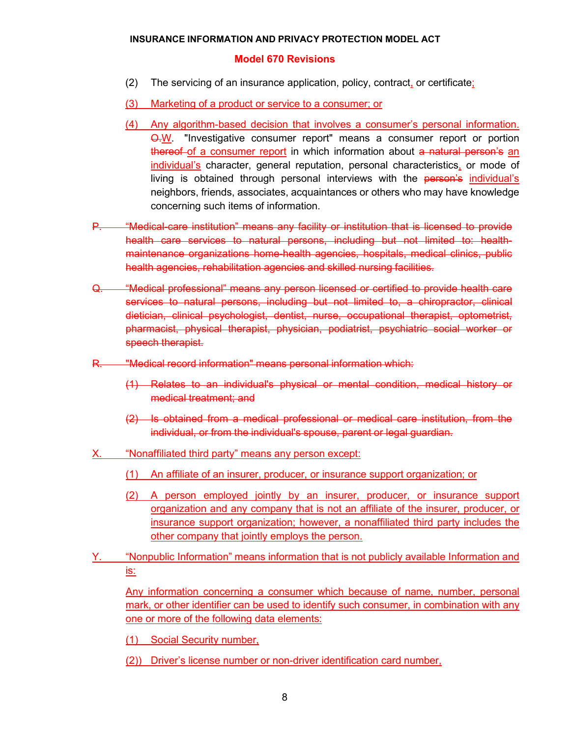#### **Model 670 Revisions**

- (2) The servicing of an insurance application, policy, contract, or certificate;
- (3) Marketing of a product or service to a consumer; or
- (4) Any algorithm-based decision that involves a consumer's personal information. Q.W. "Investigative consumer report" means a consumer report or portion thereof of a consumer report in which information about a natural person's an individual's character, general reputation, personal characteristics, or mode of living is obtained through personal interviews with the person's individual's neighbors, friends, associates, acquaintances or others who may have knowledge concerning such items of information.
- P. "Medical-care institution" means any facility or institution that is licensed to provide health care services to natural persons, including but not limited to: healthmaintenance organizations home-health agencies, hospitals, medical clinics, public health agencies, rehabilitation agencies and skilled nursing facilities.
- Q. "Medical professional" means any person licensed or certified to provide health care services to natural persons, including but not limited to, a chiropractor, clinical dietician, clinical psychologist, dentist, nurse, occupational therapist, optometrist, pharmacist, physical therapist, physician, podiatrist, psychiatric social worker or speech therapist.
- R. "Medical record information" means personal information which:
	- (1) Relates to an individual's physical or mental condition, medical history or medical treatment; and
	- (2) Is obtained from a medical professional or medical care institution, from the individual, or from the individual's spouse, parent or legal guardian.
- X. "Nonaffiliated third party" means any person except:
	- (1) An affiliate of an insurer, producer, or insurance support organization; or
	- (2) A person employed jointly by an insurer, producer, or insurance support organization and any company that is not an affiliate of the insurer, producer, or insurance support organization; however, a nonaffiliated third party includes the other company that jointly employs the person.
- Y. "Nonpublic Information" means information that is not publicly available Information and is:

Any information concerning a consumer which because of name, number, personal mark, or other identifier can be used to identify such consumer, in combination with any one or more of the following data elements:

(1) Social Security number,

(2)) Driver's license number or non-driver identification card number,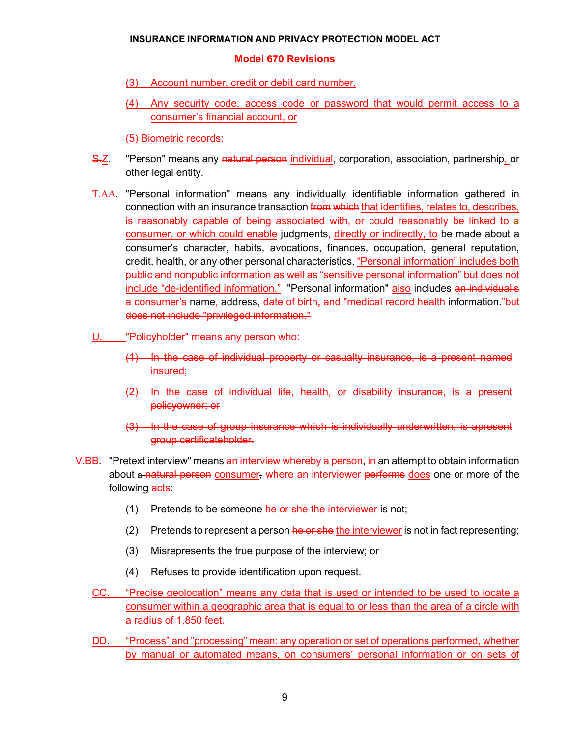# **Model 670 Revisions**

- (3) Account number, credit or debit card number,
- (4) Any security code, access code or password that would permit access to a consumer's financial account, or

(5) Biometric records;

- S.Z. "Person" means any natural person individual, corporation, association, partnership, or other legal entity.
- T.AA. "Personal information" means any individually identifiable information gathered in connection with an insurance transaction from which that identifies, relates to, describes, is reasonably capable of being associated with, or could reasonably be linked to **a**  consumer, or which could enable judgments, directly or indirectly, to be made about a consumer's character, habits, avocations, finances, occupation, general reputation, credit, health, or any other personal characteristics. "Personal information" includes both public and nonpublic information as well as "sensitive personal information" but does not include "de-identified information." "Personal information" also includes an individual's a consumer's name, address, date of birth, and "medical record health information."but does not include "privileged information."
- U. "Policyholder" means any person who:
	- (1) In the case of individual property or casualty insurance, is a present named insured;
	- (2) In the case of individual life, health, or disability insurance, is a present policyowner; or
	- (3) In the case of group insurance which is individually underwritten, is apresent group certificateholder.
- V.BB. "Pretext interview" means an interview whereby a person, in an attempt to obtain information about a natural person consumer, where an interviewer performs does one or more of the following **acts:** 
	- $(1)$  Pretends to be someone he or she the interviewer is not;
	- $(2)$  Pretends to represent a person he or she the interviewer is not in fact representing;
	- (3) Misrepresents the true purpose of the interview; or
	- (4) Refuses to provide identification upon request.
	- CC. "Precise geolocation" means any data that is used or intended to be used to locate a consumer within a geographic area that is equal to or less than the area of a circle with a radius of 1,850 feet.
	- DD. "Process" and "processing" mean: any operation or set of operations performed, whether by manual or automated means, on consumers' personal information or on sets of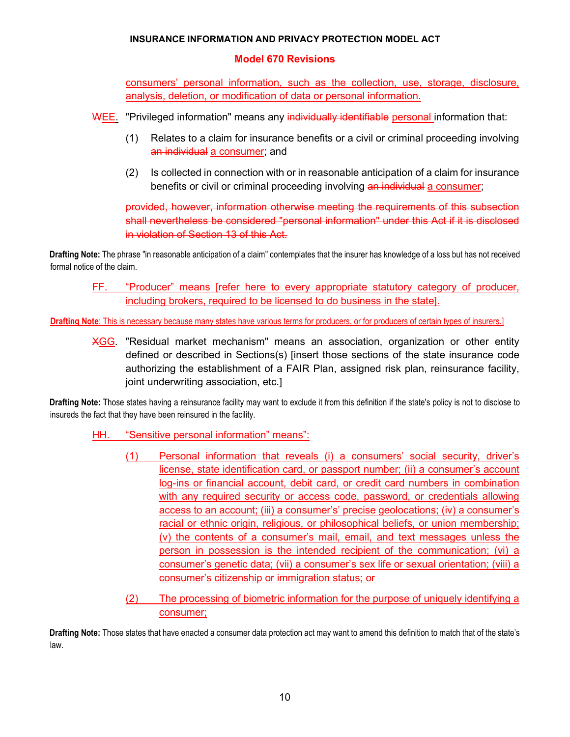# **Model 670 Revisions**

consumers' personal information, such as the collection, use, storage, disclosure, analysis, deletion, or modification of data or personal information.

WEE. "Privileged information" means any individually identifiable personal information that:

- (1) Relates to a claim for insurance benefits or a civil or criminal proceeding involving an individual a consumer; and
- (2) Is collected in connection with or in reasonable anticipation of a claim for insurance benefits or civil or criminal proceeding involving an individual a consumer;

provided, however, information otherwise meeting the requirements of this subsection shall nevertheless be considered "personal information" under this Act if it is disclosed in violation of Section 13 of this Act.

**Drafting Note:** The phrase "in reasonable anticipation of a claim" contemplates that the insurer has knowledge of a loss but has not received formal notice of the claim.

FF. "Producer" means [refer here to every appropriate statutory category of producer, including brokers, required to be licensed to do business in the state].

**Drafting Note**: This is necessary because many states have various terms for producers, or for producers of certain types of insurers.]

XGG. "Residual market mechanism" means an association, organization or other entity defined or described in Sections(s) [insert those sections of the state insurance code authorizing the establishment of a FAIR Plan, assigned risk plan, reinsurance facility, joint underwriting association, etc.]

**Drafting Note:** Those states having a reinsurance facility may want to exclude it from this definition if the state's policy is not to disclose to insureds the fact that they have been reinsured in the facility.

- HH. "Sensitive personal information" means":
	- (1) Personal information that reveals (i) a consumers' social security, driver's license, state identification card, or passport number; (ii) a consumer's account log-ins or financial account, debit card, or credit card numbers in combination with any required security or access code, password, or credentials allowing access to an account; (iii) a consumer's' precise geolocations; (iv) a consumer's racial or ethnic origin, religious, or philosophical beliefs, or union membership; (v) the contents of a consumer's mail, email, and text messages unless the person in possession is the intended recipient of the communication; (vi) a consumer's genetic data; (vii) a consumer's sex life or sexual orientation; (viii) a consumer's citizenship or immigration status; or
	- (2) The processing of biometric information for the purpose of uniquely identifying a consumer;

**Drafting Note:** Those states that have enacted a consumer data protection act may want to amend this definition to match that of the state's law.